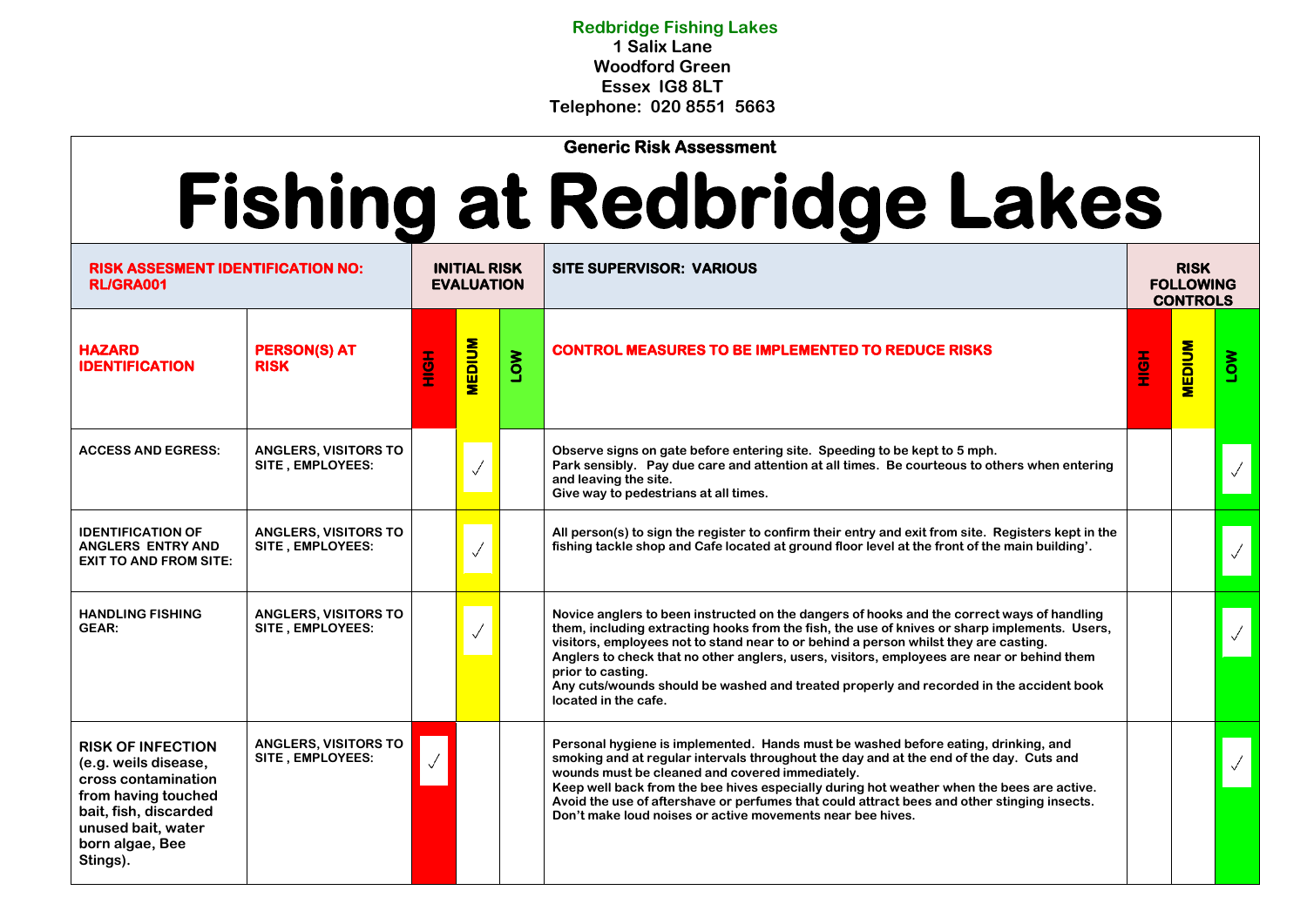**Redbridge Fishing Lakes 1 Salix Lane Woodford Green Essex IG8 8LT Telephone: 020 8551 5663**

**Generic Risk Assessment** 

## **Fishing at Redbridge Lakes**

| <b>RISK ASSESMENT IDENTIFICATION NO:</b><br><b>RL/GRA001</b>                                                                                                                 |                                                 | <b>INITIAL RISK</b><br><b>EVALUATION</b> |               |            | <b>SITE SUPERVISOR: VARIOUS</b>                                                                                                                                                                                                                                                                                                                                                                                                                                                                                           |            | <b>RISK</b><br><b>FOLLOWING</b><br><b>CONTROLS</b> |     |
|------------------------------------------------------------------------------------------------------------------------------------------------------------------------------|-------------------------------------------------|------------------------------------------|---------------|------------|---------------------------------------------------------------------------------------------------------------------------------------------------------------------------------------------------------------------------------------------------------------------------------------------------------------------------------------------------------------------------------------------------------------------------------------------------------------------------------------------------------------------------|------------|----------------------------------------------------|-----|
| <b>HAZARD</b><br><b>IDENTIFICATION</b>                                                                                                                                       | <b>PERSON(S) AT</b><br><b>RISK</b>              | H <sub>OH</sub>                          | <b>MEDIUM</b> | <b>NOT</b> | <b>CONTROL MEASURES TO BE IMPLEMENTED TO REDUCE RISKS</b>                                                                                                                                                                                                                                                                                                                                                                                                                                                                 | <b>AOH</b> | <b>MEDIUM</b>                                      | Nou |
| <b>ACCESS AND EGRESS:</b>                                                                                                                                                    | <b>ANGLERS, VISITORS TO</b><br>SITE, EMPLOYEES: |                                          | $\sqrt{}$     |            | Observe signs on gate before entering site. Speeding to be kept to 5 mph.<br>Park sensibly. Pay due care and attention at all times. Be courteous to others when entering<br>and leaving the site.<br>Give way to pedestrians at all times.                                                                                                                                                                                                                                                                               |            |                                                    |     |
| <b>IDENTIFICATION OF</b><br>ANGLERS ENTRY AND<br><b>EXIT TO AND FROM SITE:</b>                                                                                               | <b>ANGLERS, VISITORS TO</b><br>SITE, EMPLOYEES: |                                          |               |            | All person(s) to sign the register to confirm their entry and exit from site. Registers kept in the<br>fishing tackle shop and Cafe located at ground floor level at the front of the main building'.                                                                                                                                                                                                                                                                                                                     |            |                                                    |     |
| <b>HANDLING FISHING</b><br><b>GEAR:</b>                                                                                                                                      | <b>ANGLERS, VISITORS TO</b><br>SITE, EMPLOYEES: |                                          | $\checkmark$  |            | Novice anglers to been instructed on the dangers of hooks and the correct ways of handling<br>them, including extracting hooks from the fish, the use of knives or sharp implements. Users,<br>visitors, employees not to stand near to or behind a person whilst they are casting.<br>Anglers to check that no other anglers, users, visitors, employees are near or behind them<br>prior to casting.<br>Any cuts/wounds should be washed and treated properly and recorded in the accident book<br>located in the cafe. |            |                                                    |     |
| <b>RISK OF INFECTION</b><br>(e.g. weils disease,<br>cross contamination<br>from having touched<br>bait, fish, discarded<br>unused bait, water<br>born algae, Bee<br>Stings). | <b>ANGLERS, VISITORS TO</b><br>SITE, EMPLOYEES: |                                          |               |            | Personal hygiene is implemented. Hands must be washed before eating, drinking, and<br>smoking and at regular intervals throughout the day and at the end of the day. Cuts and<br>wounds must be cleaned and covered immediately.<br>Keep well back from the bee hives especially during hot weather when the bees are active.<br>Avoid the use of aftershave or perfumes that could attract bees and other stinging insects.<br>Don't make loud noises or active movements near bee hives.                                |            |                                                    |     |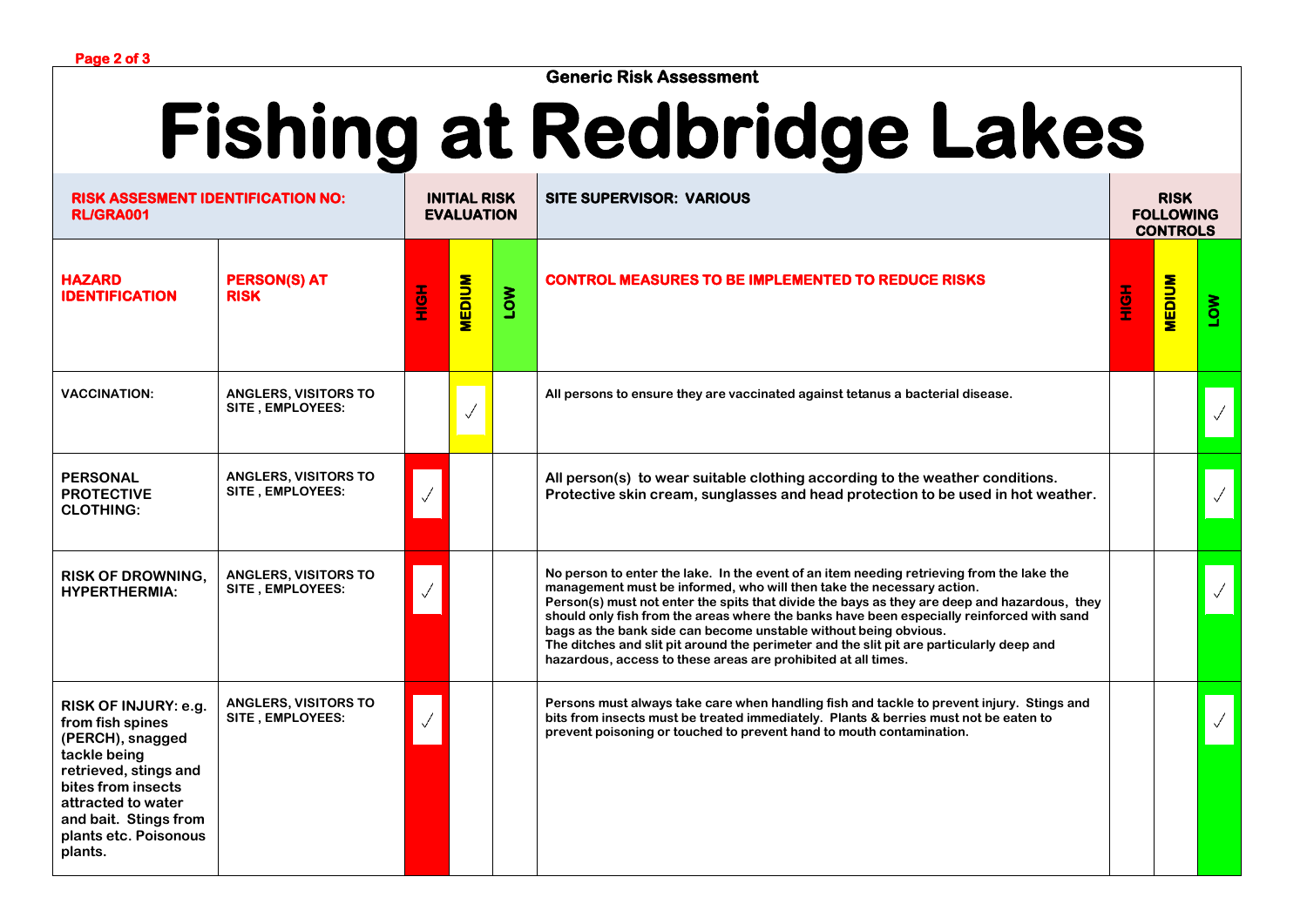**Generic Risk Assessment** 

## **Fishing at Redbridge Lakes**

| <b>RISK ASSESMENT IDENTIFICATION NO:</b><br><b>RL/GRA001</b>                                                                                                                                                   |                                                 | <b>INITIAL RISK</b><br><b>EVALUATION</b> |               |            | <b>SITE SUPERVISOR: VARIOUS</b>                                                                                                                                                                                                                                                                                                                                                                                                                                                                                                                                                                  |                 | <b>RISK</b><br><b>FOLLOWING</b><br><b>CONTROLS</b> |            |  |
|----------------------------------------------------------------------------------------------------------------------------------------------------------------------------------------------------------------|-------------------------------------------------|------------------------------------------|---------------|------------|--------------------------------------------------------------------------------------------------------------------------------------------------------------------------------------------------------------------------------------------------------------------------------------------------------------------------------------------------------------------------------------------------------------------------------------------------------------------------------------------------------------------------------------------------------------------------------------------------|-----------------|----------------------------------------------------|------------|--|
| <b>HAZARD</b><br><b>IDENTIFICATION</b>                                                                                                                                                                         | <b>PERSON(S) AT</b><br><b>RISK</b>              | <b>HOME</b>                              | <b>MEDIUM</b> | <b>MOT</b> | <b>CONTROL MEASURES TO BE IMPLEMENTED TO REDUCE RISKS</b>                                                                                                                                                                                                                                                                                                                                                                                                                                                                                                                                        | H <sub>OH</sub> | <b>MEDIUM</b>                                      | <b>NOT</b> |  |
| <b>VACCINATION:</b>                                                                                                                                                                                            | <b>ANGLERS, VISITORS TO</b><br>SITE, EMPLOYEES: |                                          |               |            | All persons to ensure they are vaccinated against tetanus a bacterial disease.                                                                                                                                                                                                                                                                                                                                                                                                                                                                                                                   |                 |                                                    |            |  |
| <b>PERSONAL</b><br><b>PROTECTIVE</b><br><b>CLOTHING:</b>                                                                                                                                                       | <b>ANGLERS, VISITORS TO</b><br>SITE, EMPLOYEES: |                                          |               |            | All person(s) to wear suitable clothing according to the weather conditions.<br>Protective skin cream, sunglasses and head protection to be used in hot weather.                                                                                                                                                                                                                                                                                                                                                                                                                                 |                 |                                                    |            |  |
| <b>RISK OF DROWNING.</b><br><b>HYPERTHERMIA:</b>                                                                                                                                                               | <b>ANGLERS, VISITORS TO</b><br>SITE, EMPLOYEES: |                                          |               |            | No person to enter the lake. In the event of an item needing retrieving from the lake the<br>management must be informed, who will then take the necessary action.<br>Person(s) must not enter the spits that divide the bays as they are deep and hazardous, they<br>should only fish from the areas where the banks have been especially reinforced with sand<br>bags as the bank side can become unstable without being obvious.<br>The ditches and slit pit around the perimeter and the slit pit are particularly deep and<br>hazardous, access to these areas are prohibited at all times. |                 |                                                    |            |  |
| RISK OF INJURY: e.g.<br>from fish spines<br>(PERCH), snagged<br>tackle being<br>retrieved, stings and<br>bites from insects<br>attracted to water<br>and bait. Stings from<br>plants etc. Poisonous<br>plants. | <b>ANGLERS, VISITORS TO</b><br>SITE, EMPLOYEES: |                                          |               |            | Persons must always take care when handling fish and tackle to prevent injury. Stings and<br>bits from insects must be treated immediately. Plants & berries must not be eaten to<br>prevent poisoning or touched to prevent hand to mouth contamination.                                                                                                                                                                                                                                                                                                                                        |                 |                                                    |            |  |